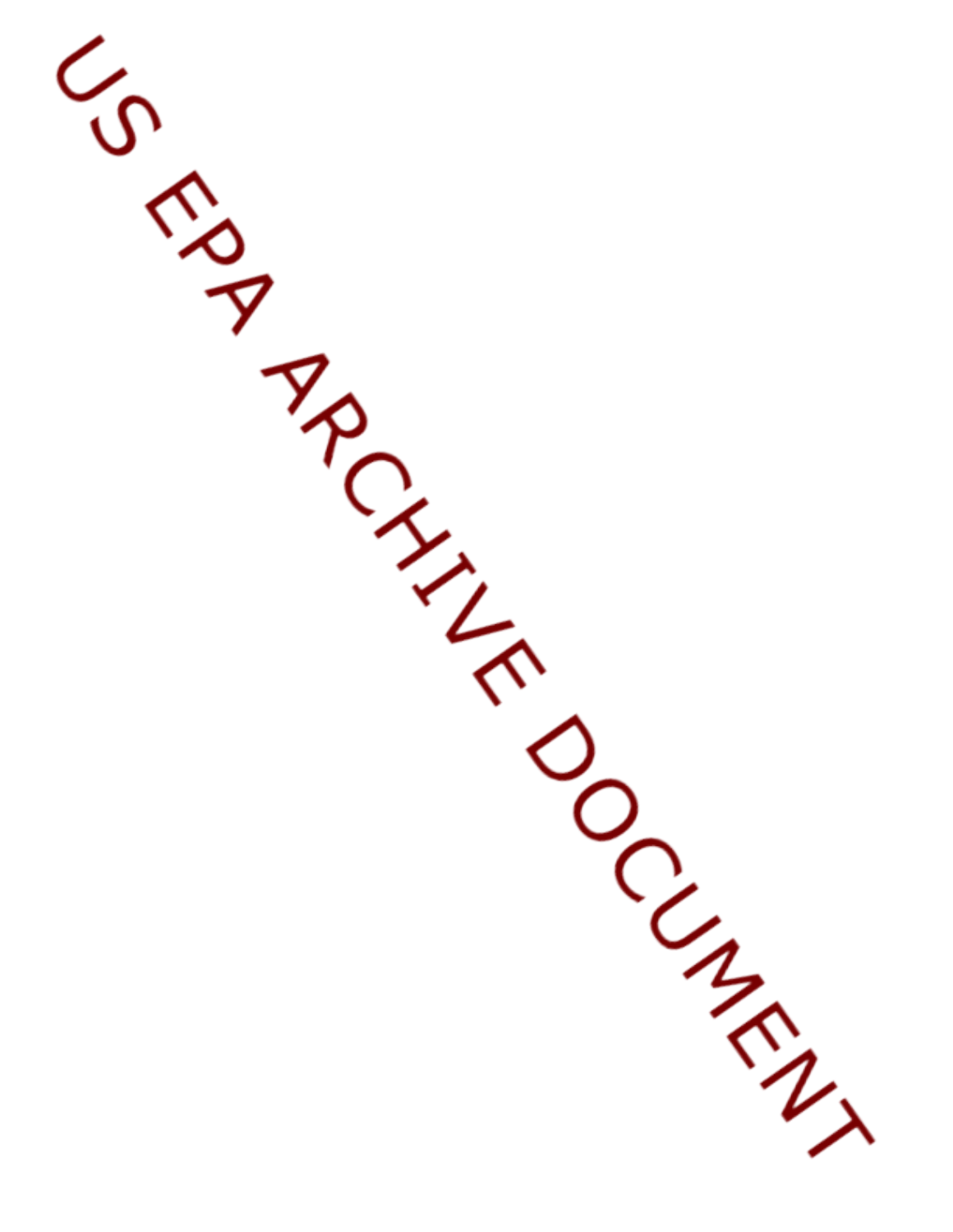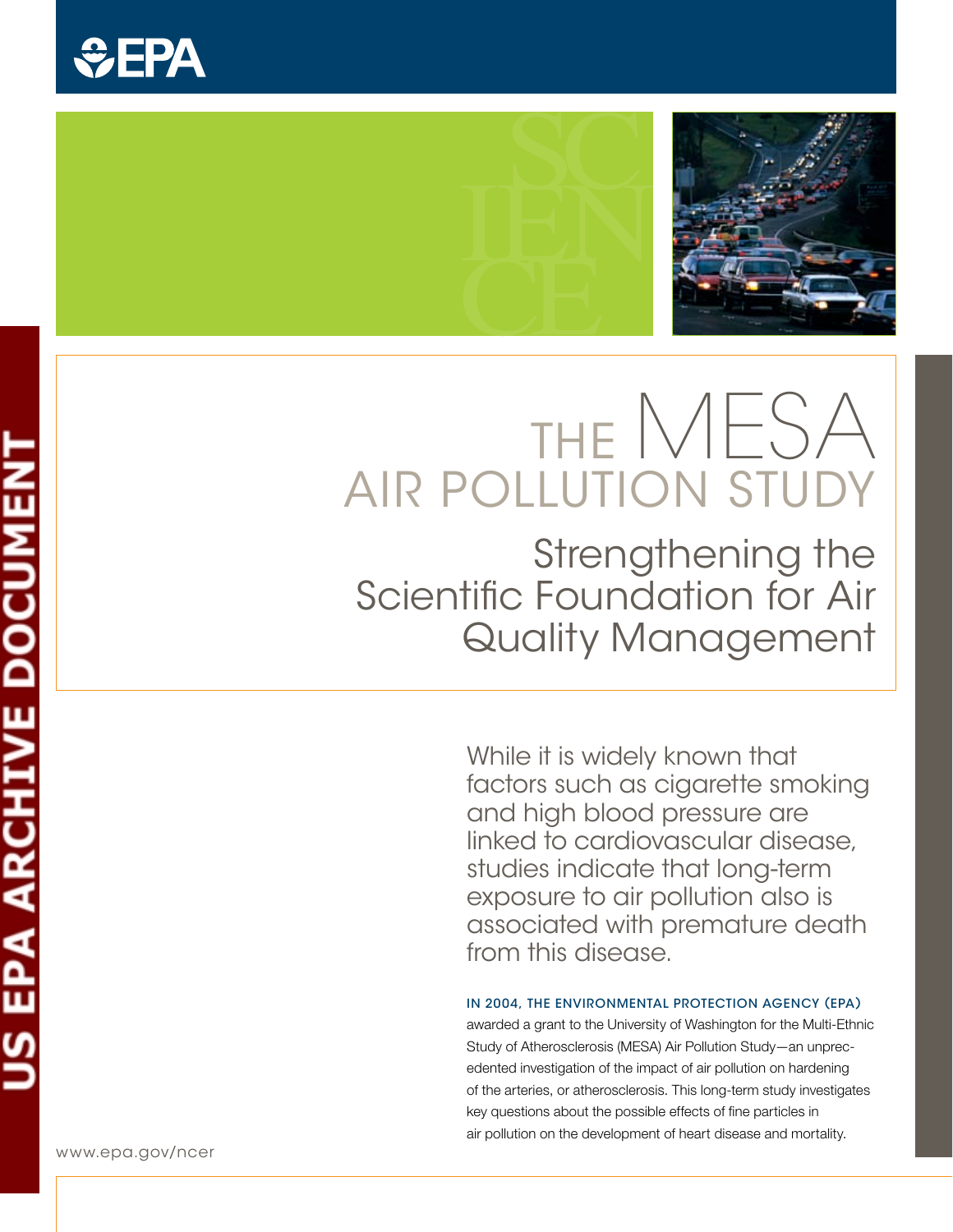



# The MESA Air Pollution Study

Strengthening the Scientific Foundation for Air Quality Management

> While it is widely known that factors such as cigarette smoking and high blood pressure are linked to cardiovascular disease, studies indicate that long-term exposure to air pollution also is associated with premature death from this disease.

### IN 2004, THE ENVIRONMENTAL PROTECTION AGENCY (EPA)

awarded a grant to the University of Washington for the Multi-Ethnic Study of Atherosclerosis (MESA) Air Pollution Study—an unprecedented investigation of the impact of air pollution on hardening of the arteries, or atherosclerosis. This long-term study investigates key questions about the possible effects of fine particles in air pollution on the development of heart disease and mortality.

www.epa.gov/ncer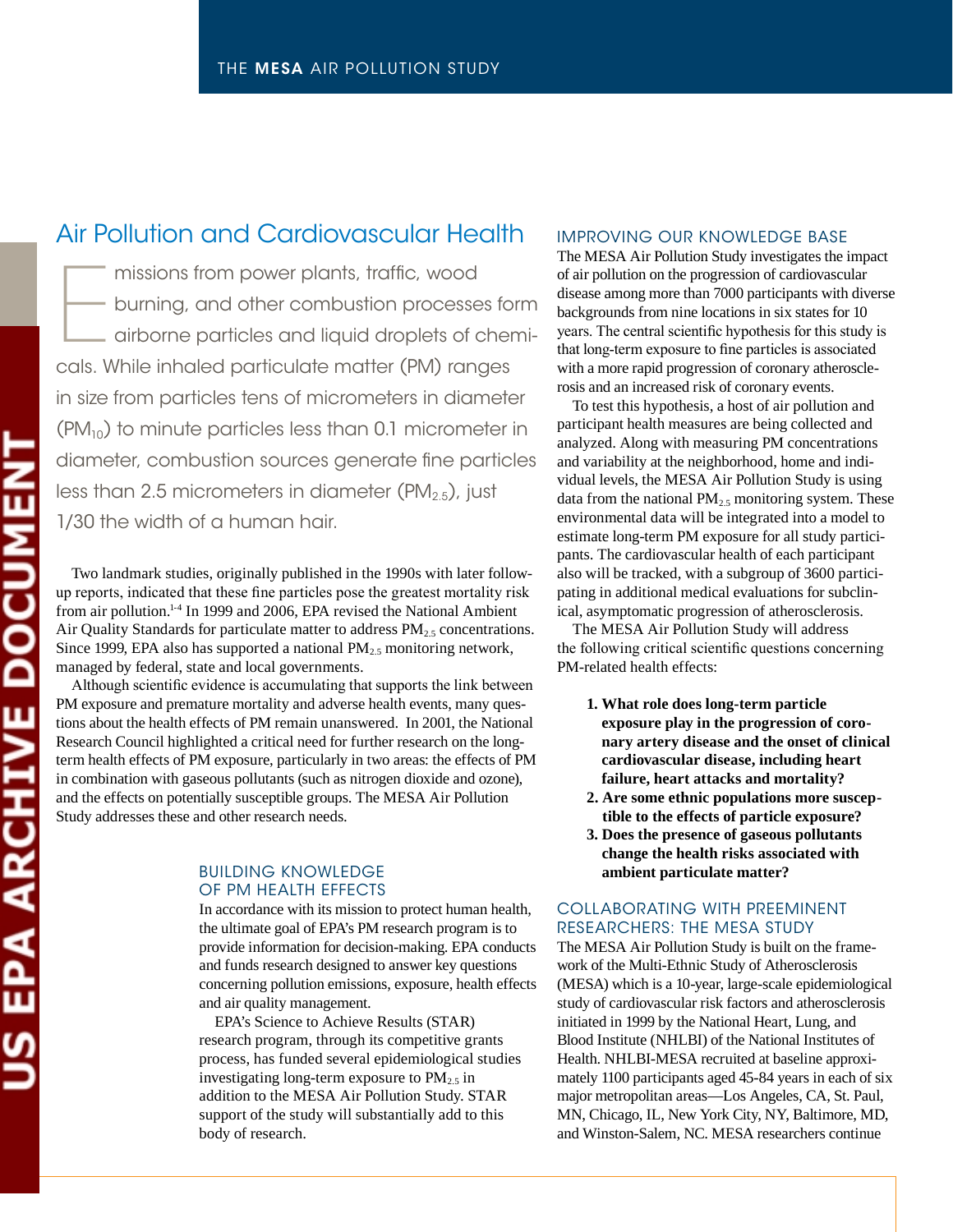### Air Pollution and Cardiovascular Health

 $\begin{array}{|c|c|}\n\hline\n\end{array}$ missions from power plants, traffic, wood burning, and other combustion processes form airborne particles and liquid droplets of chemicals. While inhaled particulate matter (PM) ranges in size from particles tens of micrometers in diameter  $(PM<sub>10</sub>)$  to minute particles less than 0.1 micrometer in diameter, combustion sources generate fine particles less than 2.5 micrometers in diameter (PM $_{2.5}$ ), just 1/30 the width of a human hair.

Two landmark studies, originally published in the 1990s with later followup reports, indicated that these fine particles pose the greatest mortality risk from air pollution.<sup>1-4</sup> In 1999 and 2006, EPA revised the National Ambient Air Quality Standards for particulate matter to address  $PM_{2.5}$  concentrations. Since 1999, EPA also has supported a national  $PM_{2.5}$  monitoring network, managed by federal, state and local governments.

Although scientific evidence is accumulating that supports the link between PM exposure and premature mortality and adverse health events, many questions about the health effects of PM remain unanswered. In 2001, the National Research Council highlighted a critical need for further research on the longterm health effects of PM exposure, particularly in two areas: the effects of PM in combination with gaseous pollutants (such as nitrogen dioxide and ozone), and the effects on potentially susceptible groups. The MESA Air Pollution Study addresses these and other research needs.

### Building Knowledge of PM Health Effects

In accordance with its mission to protect human health, the ultimate goal of EPA's PM research program is to provide information for decision-making. EPA conducts and funds research designed to answer key questions concerning pollution emissions, exposure, health effects and air quality management.

EPA's Science to Achieve Results (STAR) research program, through its competitive grants process, has funded several epidemiological studies investigating long-term exposure to  $PM_{2.5}$  in addition to the MESA Air Pollution Study. STAR support of the study will substantially add to this body of research.

### Improving our Knowledge Base

The MESA Air Pollution Study investigates the impact of air pollution on the progression of cardiovascular disease among more than 7000 participants with diverse backgrounds from nine locations in six states for 10 years. The central scientific hypothesis for this study is that long-term exposure to fine particles is associated with a more rapid progression of coronary atherosclerosis and an increased risk of coronary events.

To test this hypothesis, a host of air pollution and participant health measures are being collected and analyzed. Along with measuring PM concentrations and variability at the neighborhood, home and individual levels, the MESA Air Pollution Study is using data from the national  $PM_2$ , monitoring system. These environmental data will be integrated into a model to estimate long-term PM exposure for all study participants. The cardiovascular health of each participant also will be tracked, with a subgroup of 3600 participating in additional medical evaluations for subclinical, asymptomatic progression of atherosclerosis.

The MESA Air Pollution Study will address the following critical scientific questions concerning PM-related health effects:

- **1. What role does long-term particle exposure play in the progression of coronary artery disease and the onset of clinical cardiovascular disease, including heart failure, heart attacks and mortality?**
- **2. Are some ethnic populations more susceptible to the effects of particle exposure?**
- **3. Does the presence of gaseous pollutants change the health risks associated with ambient particulate matter?**

### Collaborating with Preeminent Researchers: the MESA Study

The MESA Air Pollution Study is built on the framework of the Multi-Ethnic Study of Atherosclerosis (MESA) which is a 10-year, large-scale epidemiological study of cardiovascular risk factors and atherosclerosis initiated in 1999 by the National Heart, Lung, and Blood Institute (NHLBI) of the National Institutes of Health. NHLBI-MESA recruited at baseline approximately 1100 participants aged 45-84 years in each of six major metropolitan areas—Los Angeles, CA, St. Paul, MN, Chicago, IL, New York City, NY, Baltimore, MD, and Winston-Salem, NC. MESA researchers continue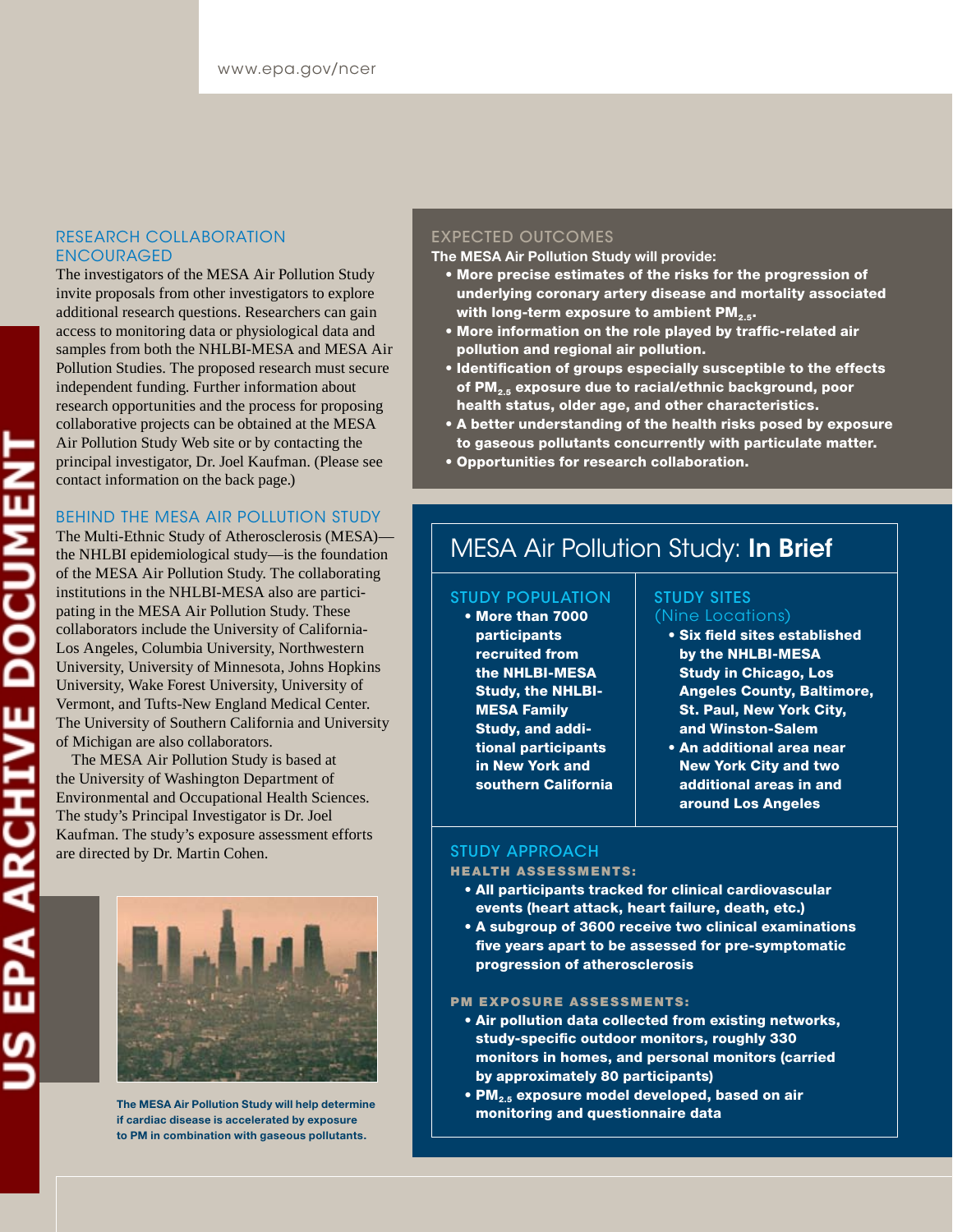### Research Collaboration **ENCOURAGED**

The investigators of the MESA Air Pollution Study invite proposals from other investigators to explore additional research questions. Researchers can gain access to monitoring data or physiological data and samples from both the NHLBI-MESA and MESA Air Pollution Studies. The proposed research must secure independent funding. Further information about research opportunities and the process for proposing collaborative projects can be obtained at the MESA Air Pollution Study Web site or by contacting the principal investigator, Dr. Joel Kaufman. (Please see contact information on the back page.)

### Behind the MESA Air Pollution Study

The Multi-Ethnic Study of Atherosclerosis (MESA) the NHLBI epidemiological study—is the foundation of the MESA Air Pollution Study. The collaborating institutions in the NHLBI-MESA also are participating in the MESA Air Pollution Study. These collaborators include the University of California-Los Angeles, Columbia University, Northwestern University, University of Minnesota, Johns Hopkins University, Wake Forest University, University of Vermont, and Tufts-New England Medical Center. The University of Southern California and University of Michigan are also collaborators.

The MESA Air Pollution Study is based at the University of Washington Department of Environmental and Occupational Health Sciences. The study's Principal Investigator is Dr. Joel Kaufman. The study's exposure assessment efforts are directed by Dr. Martin Cohen.



The MESA Air Pollution Study will help determine if cardiac disease is accelerated by exposure to PM in combination with gaseous pollutants.

### Expected Outcomes

The MESA Air Pollution Study will provide:

- More precise estimates of the risks for the progression of underlying coronary artery disease and mortality associated with long-term exposure to ambient  $PM_{2.5}$ .
- More information on the role played by traffic-related air pollution and regional air pollution.
- Identification of groups especially susceptible to the effects of PM<sub>2.5</sub> exposure due to racial/ethnic background, poor health status, older age, and other characteristics.
- A better understanding of the health risks posed by exposure to gaseous pollutants concurrently with particulate matter.
- Opportunities for research collaboration.

### **MESA Air Pollution Study: In Brief**

### Study Population

• More than 7000 **participants** recruited from the NHLBI-MESA Study, the NHLBI-MESA Family Study, and additional participants in New York and southern California

### Study Sites (Nine Locations)

- Six field sites established by the NHLBI-MESA Study in Chicago, Los Angeles County, Baltimore, St. Paul, New York City, and Winston-Salem
- An additional area near New York City and two additional areas in and around Los Angeles

### Study Approach

### **HEALTH ASSESSMENTS:**

- All participants tracked for clinical cardiovascular events (heart attack, heart failure, death, etc.)
- A subgroup of 3600 receive two clinical examinations five years apart to be assessed for pre-symptomatic progression of atherosclerosis

### PM EXPOSURE ASSESSMENTS:

- Air pollution data collected from existing networks, study-specific outdoor monitors, roughly 330 monitors in homes, and personal monitors (carried by approximately 80 participants)
- $\bullet$  PM<sub>2.5</sub> exposure model developed, based on air monitoring and questionnaire data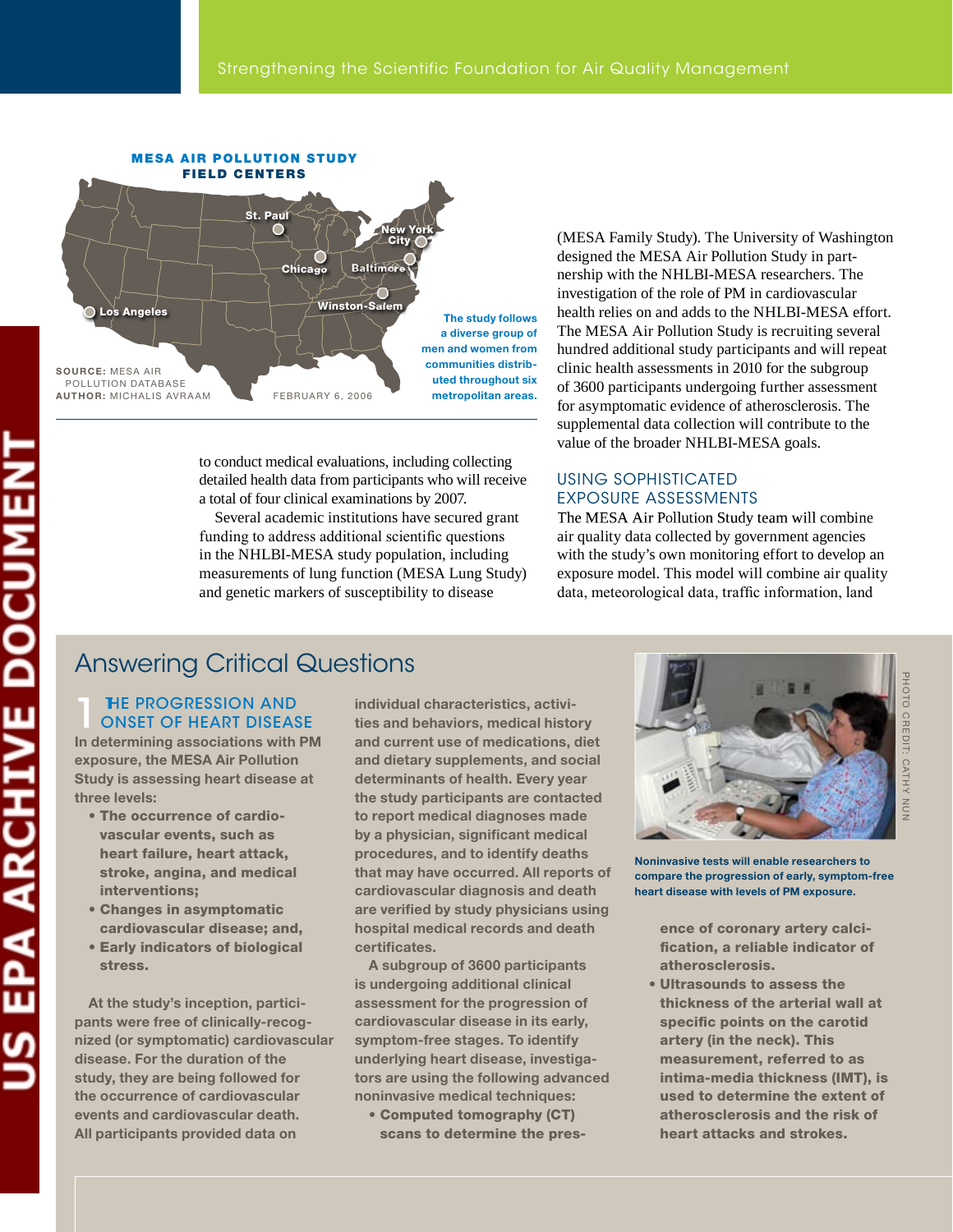

to conduct medical evaluations, including collecting detailed health data from participants who will receive a total of four clinical examinations by 2007.

Several academic institutions have secured grant funding to address additional scientific questions in the NHLBI-MESA study population, including measurements of lung function (MESA Lung Study) and genetic markers of susceptibility to disease

(MESA Family Study). The University of Washington designed the MESA Air Pollution Study in partnership with the NHLBI-MESA researchers. The investigation of the role of PM in cardiovascular health relies on and adds to the NHLBI-MESA effort. The MESA Air Pollution Study is recruiting several hundred additional study participants and will repeat clinic health assessments in 2010 for the subgroup of 3600 participants undergoing further assessment for asymptomatic evidence of atherosclerosis. The supplemental data collection will contribute to the value of the broader NHLBI-MESA goals.

### using soPhisticated exPosuRe assessMents

The MESA Air Pollution Study team will combine air quality data collected by government agencies with the study's own monitoring effort to develop an exposure model. This model will combine air quality data, meteorological data, traffic information, land

### **THE PROGRESSION AND** OnsEt Of hEart disEasE

In determining associations with PM exposure, the MESA Air Pollution Study is assessing heart disease at three levels:

- The occurrence of cardiovascular events, such as heart failure, heart attack, stroke, angina, and medical interventions;
- Changes in asymptomatic cardiovascular disease; and,
- Early indicators of biological stress.

At the study's inception, participants were free of clinically-recognized (or symptomatic) cardiovascular disease. for the duration of the study, they are being followed for the occurrence of cardiovascular events and cardiovascular death. All participants provided data on

individual characteristics, activities and behaviors, medical history and current use of medications, diet and dietary supplements, and social determinants of health. Every year the study participants are contacted to report medical diagnoses made by a physician, significant medical procedures, and to identify deaths that may have occurred. All reports of cardiovascular diagnosis and death are verified by study physicians using hospital medical records and death certificates.

A subgroup of 3600 participants is undergoing additional clinical assessment for the progression of cardiovascular disease in its early, symptom-free stages. To identify underlying heart disease, investigators are using the following advanced noninvasive medical techniques:

• Computed tomography (CT) scans to determine the pres-



noninvasive tests will enable researchers to compare the progression of early, symptom-free heart disease with levels of PM exposure.

ence of coronary artery calcification, a reliable indicator of atherosclerosis.

• Ultrasounds to assess the thickness of the arterial wall at specific points on the carotid artery (in the neck). This measurement, referred to as intima-media thickness (IMT), is used to determine the extent of atherosclerosis and the risk of heart attacks and strokes.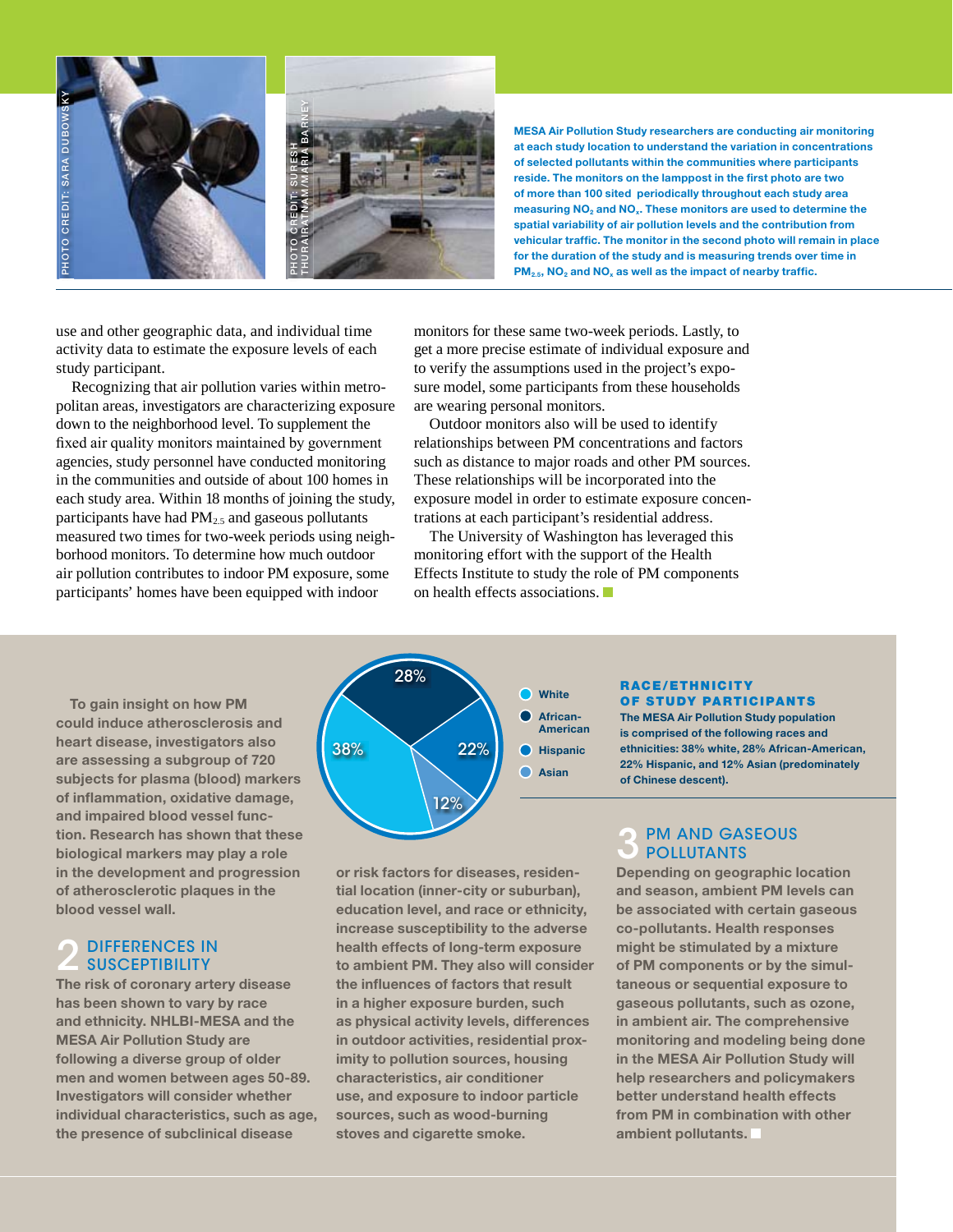

MESA Air Pollution Study researchers are conducting air monitoring at each study location to understand the variation in concentrations of selected pollutants within the communities where participants reside. The monitors on the lamppost in the first photo are two of more than 100 sited periodically throughout each study area measuring  $NO<sub>2</sub>$  and  $NO<sub>x</sub>$ . These monitors are used to determine the spatial variability of air pollution levels and the contribution from vehicular traffic. The monitor in the second photo will remain in place for the duration of the study and is measuring trends over time in  $PM_{2.5}$ , NO<sub>2</sub> and NO<sub>x</sub> as well as the impact of nearby traffic.

use and other geographic data, and individual time activity data to estimate the exposure levels of each study participant.

Recognizing that air pollution varies within metropolitan areas, investigators are characterizing exposure down to the neighborhood level. To supplement the fixed air quality monitors maintained by government agencies, study personnel have conducted monitoring in the communities and outside of about 100 homes in each study area. Within 18 months of joining the study, participants have had  $PM<sub>2.5</sub>$  and gaseous pollutants measured two times for two-week periods using neighborhood monitors. To determine how much outdoor air pollution contributes to indoor PM exposure, some participants' homes have been equipped with indoor

monitors for these same two-week periods. Lastly, to get a more precise estimate of individual exposure and to verify the assumptions used in the project's exposure model, some participants from these households are wearing personal monitors.

Outdoor monitors also will be used to identify relationships between PM concentrations and factors such as distance to major roads and other PM sources. These relationships will be incorporated into the exposure model in order to estimate exposure concentrations at each participant's residential address.

The University of Washington has leveraged this monitoring effort with the support of the Health Effects Institute to study the role of PM components on health effects associations.

To gain insight on how PM could induce atherosclerosis and heart disease, investigators also are assessing a subgroup of 720 subjects for plasma (blood) markers of inflammation, oxidative damage, and impaired blood vessel function. Research has shown that these biological markers may play a role in the development and progression of atherosclerotic plaques in the blood vessel wall.

## 2 DIFFERENCES IN

The risk of coronary artery disease has been shown to vary by race and ethnicity. NHLBI-MESA and the MESA Air Pollution Study are following a diverse group of older men and women between ages 50-89. investigators will consider whether individual characteristics, such as age, the presence of subclinical disease



or risk factors for diseases, residential location (inner-city or suburban), education level, and race or ethnicity, increase susceptibility to the adverse health effects of long-term exposure to ambient PM. They also will consider the influences of factors that result in a higher exposure burden, such as physical activity levels, differences in outdoor activities, residential proximity to pollution sources, housing characteristics, air conditioner use, and exposure to indoor particle sources, such as wood-burning stoves and cigarette smoke.

### r aCe/etHn iCit y oF study PartiCiPants

The MESA Air Pollution Study population is comprised of the following races and ethnicities: 38% white, 28% African-American, 22% Hispanic, and 12% Asian (predominately of Chinese descent).

### **PM AND GASEOUS POLLUTANTS**

Depending on geographic location and season, ambient PM levels can be associated with certain gaseous co-pollutants. Health responses might be stimulated by a mixture of PM components or by the simultaneous or sequential exposure to gaseous pollutants, such as ozone, in ambient air. The comprehensive monitoring and modeling being done in the MESA Air Pollution Study will help researchers and policymakers better understand health effects from PM in combination with other ambient pollutants.